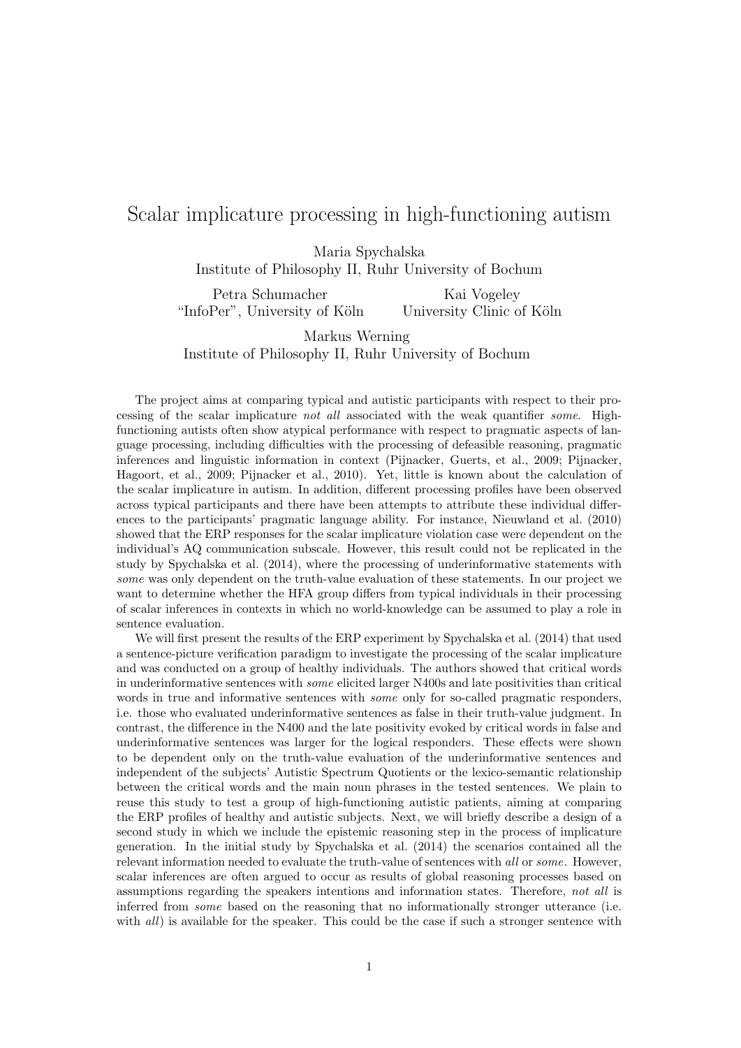## Scalar implicature processing in high-functioning autism

Maria Spychalska Institute of Philosophy II, Ruhr University of Bochum

Petra Schumacher "InfoPer", University of Köln Kai Vogeley University Clinic of Köln

Markus Werning Institute of Philosophy II, Ruhr University of Bochum

The project aims at comparing typical and autistic participants with respect to their processing of the scalar implicature not all associated with the weak quantifier some. Highfunctioning autists often show atypical performance with respect to pragmatic aspects of language processing, including difficulties with the processing of defeasible reasoning, pragmatic inferences and linguistic information in context (Pijnacker, Guerts, et al., 2009; Pijnacker, Hagoort, et al., 2009; Pijnacker et al., 2010). Yet, little is known about the calculation of the scalar implicature in autism. In addition, different processing profiles have been observed across typical participants and there have been attempts to attribute these individual differences to the participants' pragmatic language ability. For instance, Nieuwland et al. (2010) showed that the ERP responses for the scalar implicature violation case were dependent on the individual's AQ communication subscale. However, this result could not be replicated in the study by Spychalska et al. (2014), where the processing of underinformative statements with some was only dependent on the truth-value evaluation of these statements. In our project we want to determine whether the HFA group differs from typical individuals in their processing of scalar inferences in contexts in which no world-knowledge can be assumed to play a role in sentence evaluation.

We will first present the results of the ERP experiment by Spychalska et al. (2014) that used a sentence-picture verification paradigm to investigate the processing of the scalar implicature and was conducted on a group of healthy individuals. The authors showed that critical words in underinformative sentences with some elicited larger N400s and late positivities than critical words in true and informative sentences with *some* only for so-called pragmatic responders, i.e. those who evaluated underinformative sentences as false in their truth-value judgment. In contrast, the difference in the N400 and the late positivity evoked by critical words in false and underinformative sentences was larger for the logical responders. These effects were shown to be dependent only on the truth-value evaluation of the underinformative sentences and independent of the subjects' Autistic Spectrum Quotients or the lexico-semantic relationship between the critical words and the main noun phrases in the tested sentences. We plain to reuse this study to test a group of high-functioning autistic patients, aiming at comparing the ERP profiles of healthy and autistic subjects. Next, we will briefly describe a design of a second study in which we include the epistemic reasoning step in the process of implicature generation. In the initial study by Spychalska et al. (2014) the scenarios contained all the relevant information needed to evaluate the truth-value of sentences with all or some. However, scalar inferences are often argued to occur as results of global reasoning processes based on assumptions regarding the speakers intentions and information states. Therefore, not all is inferred from some based on the reasoning that no informationally stronger utterance (i.e. with *all*) is available for the speaker. This could be the case if such a stronger sentence with